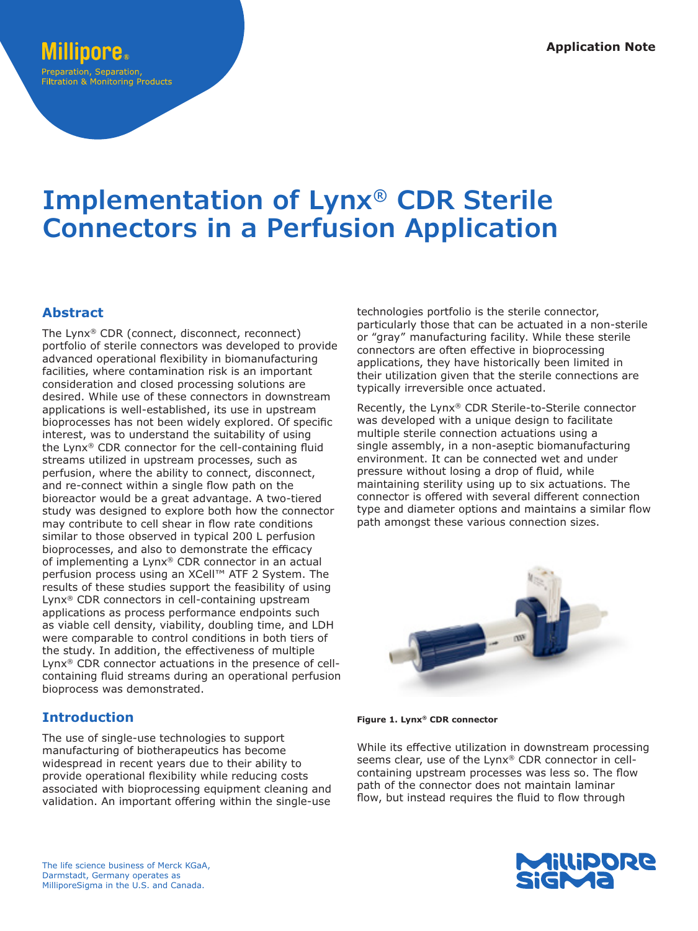# **Implementation of Lynx® CDR Sterile Connectors in a Perfusion Application**

## **Abstract**

The Lynx® CDR (connect, disconnect, reconnect) portfolio of sterile connectors was developed to provide advanced operational flexibility in biomanufacturing facilities, where contamination risk is an important consideration and closed processing solutions are desired. While use of these connectors in downstream applications is well-established, its use in upstream bioprocesses has not been widely explored. Of specific interest, was to understand the suitability of using the Lynx® CDR connector for the cell-containing fluid streams utilized in upstream processes, such as perfusion, where the ability to connect, disconnect, and re-connect within a single flow path on the bioreactor would be a great advantage. A two-tiered study was designed to explore both how the connector may contribute to cell shear in flow rate conditions similar to those observed in typical 200 L perfusion bioprocesses, and also to demonstrate the efficacy of implementing a Lynx® CDR connector in an actual perfusion process using an XCell™ ATF 2 System. The results of these studies support the feasibility of using Lynx® CDR connectors in cell-containing upstream applications as process performance endpoints such as viable cell density, viability, doubling time, and LDH were comparable to control conditions in both tiers of the study. In addition, the effectiveness of multiple Lynx® CDR connector actuations in the presence of cellcontaining fluid streams during an operational perfusion bioprocess was demonstrated.

# **Introduction**

The use of single-use technologies to support manufacturing of biotherapeutics has become widespread in recent years due to their ability to provide operational flexibility while reducing costs associated with bioprocessing equipment cleaning and validation. An important offering within the single-use technologies portfolio is the sterile connector, particularly those that can be actuated in a non-sterile or "gray" manufacturing facility. While these sterile connectors are often effective in bioprocessing applications, they have historically been limited in their utilization given that the sterile connections are typically irreversible once actuated.

Recently, the Lynx® CDR Sterile-to-Sterile connector was developed with a unique design to facilitate multiple sterile connection actuations using a single assembly, in a non-aseptic biomanufacturing environment. It can be connected wet and under pressure without losing a drop of fluid, while maintaining sterility using up to six actuations. The connector is offered with several different connection type and diameter options and maintains a similar flow path amongst these various connection sizes.



**Figure 1. Lynx® CDR connector**

While its effective utilization in downstream processing seems clear, use of the Lynx® CDR connector in cellcontaining upstream processes was less so. The flow path of the connector does not maintain laminar flow, but instead requires the fluid to flow through

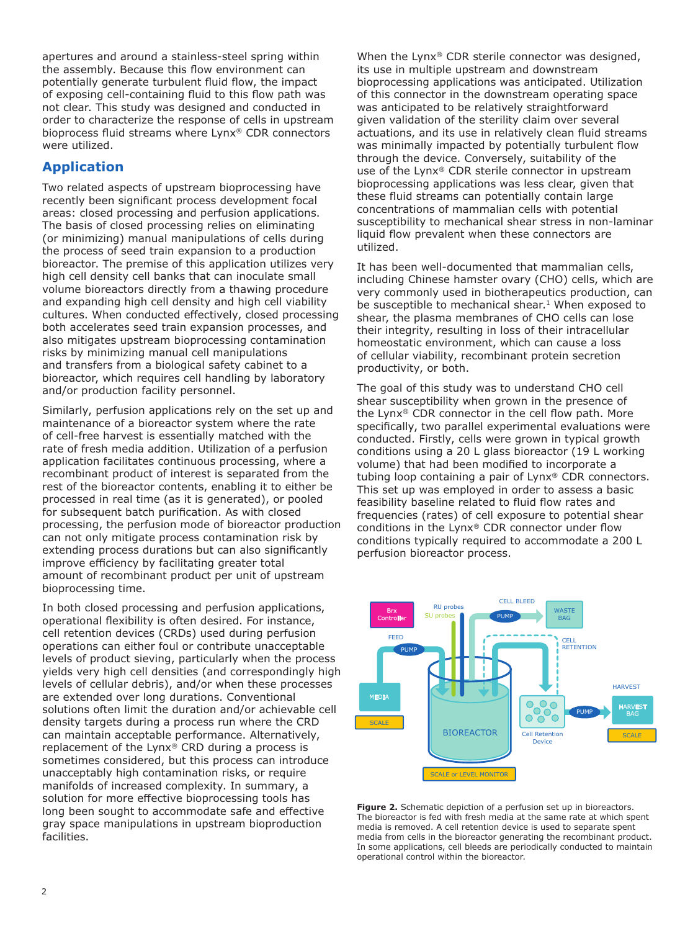apertures and around a stainless-steel spring within the assembly. Because this flow environment can potentially generate turbulent fluid flow, the impact of exposing cell-containing fluid to this flow path was not clear. This study was designed and conducted in order to characterize the response of cells in upstream bioprocess fluid streams where Lynx® CDR connectors were utilized.

## **Application**

Two related aspects of upstream bioprocessing have recently been significant process development focal areas: closed processing and perfusion applications. The basis of closed processing relies on eliminating (or minimizing) manual manipulations of cells during the process of seed train expansion to a production bioreactor. The premise of this application utilizes very high cell density cell banks that can inoculate small volume bioreactors directly from a thawing procedure and expanding high cell density and high cell viability cultures. When conducted effectively, closed processing both accelerates seed train expansion processes, and also mitigates upstream bioprocessing contamination risks by minimizing manual cell manipulations and transfers from a biological safety cabinet to a bioreactor, which requires cell handling by laboratory and/or production facility personnel.

Similarly, perfusion applications rely on the set up and maintenance of a bioreactor system where the rate of cell-free harvest is essentially matched with the rate of fresh media addition. Utilization of a perfusion application facilitates continuous processing, where a recombinant product of interest is separated from the rest of the bioreactor contents, enabling it to either be processed in real time (as it is generated), or pooled for subsequent batch purification. As with closed processing, the perfusion mode of bioreactor production can not only mitigate process contamination risk by extending process durations but can also significantly improve efficiency by facilitating greater total amount of recombinant product per unit of upstream bioprocessing time.

In both closed processing and perfusion applications, operational flexibility is often desired. For instance, cell retention devices (CRDs) used during perfusion operations can either foul or contribute unacceptable levels of product sieving, particularly when the process yields very high cell densities (and correspondingly high levels of cellular debris), and/or when these processes are extended over long durations. Conventional solutions often limit the duration and/or achievable cell density targets during a process run where the CRD can maintain acceptable performance. Alternatively, replacement of the Lynx® CRD during a process is sometimes considered, but this process can introduce unacceptably high contamination risks, or require manifolds of increased complexity. In summary, a solution for more effective bioprocessing tools has long been sought to accommodate safe and effective gray space manipulations in upstream bioproduction facilities.

When the Lynx® CDR sterile connector was designed, its use in multiple upstream and downstream bioprocessing applications was anticipated. Utilization of this connector in the downstream operating space was anticipated to be relatively straightforward given validation of the sterility claim over several actuations, and its use in relatively clean fluid streams was minimally impacted by potentially turbulent flow through the device. Conversely, suitability of the use of the Lynx® CDR sterile connector in upstream bioprocessing applications was less clear, given that these fluid streams can potentially contain large concentrations of mammalian cells with potential susceptibility to mechanical shear stress in non-laminar liquid flow prevalent when these connectors are utilized.

It has been well-documented that mammalian cells, including Chinese hamster ovary (CHO) cells, which are very commonly used in biotherapeutics production, can be susceptible to mechanical shear.<sup>1</sup> When exposed to shear, the plasma membranes of CHO cells can lose their integrity, resulting in loss of their intracellular homeostatic environment, which can cause a loss of cellular viability, recombinant protein secretion productivity, or both.

The goal of this study was to understand CHO cell shear susceptibility when grown in the presence of the Lynx® CDR connector in the cell flow path. More specifically, two parallel experimental evaluations were conducted. Firstly, cells were grown in typical growth conditions using a 20 L glass bioreactor (19 L working volume) that had been modified to incorporate a tubing loop containing a pair of Lynx® CDR connectors. This set up was employed in order to assess a basic feasibility baseline related to fluid flow rates and frequencies (rates) of cell exposure to potential shear conditions in the Lynx® CDR connector under flow conditions typically required to accommodate a 200 L perfusion bioreactor process.



Figure 2. Schematic depiction of a perfusion set up in bioreactors. The bioreactor is fed with fresh media at the same rate at which spent media is removed. A cell retention device is used to separate spent media from cells in the bioreactor generating the recombinant product. In some applications, cell bleeds are periodically conducted to maintain operational control within the bioreactor.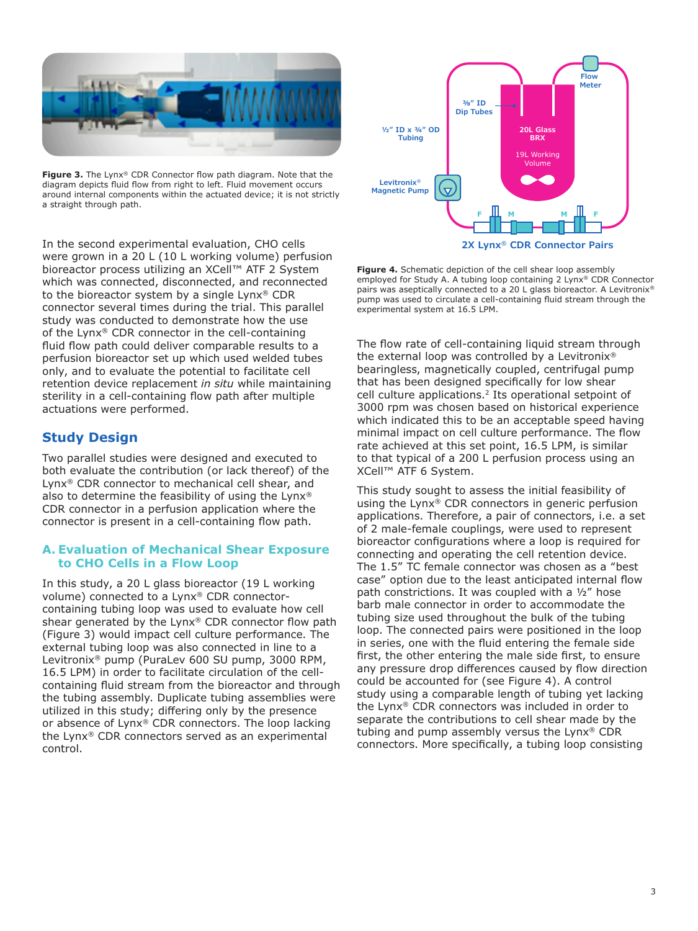

Figure 3. The Lynx® CDR Connector flow path diagram. Note that the diagram depicts fluid flow from right to left. Fluid movement occurs around internal components within the actuated device; it is not strictly a straight through path.

In the second experimental evaluation, CHO cells were grown in a 20 L (10 L working volume) perfusion bioreactor process utilizing an XCell™ ATF 2 System which was connected, disconnected, and reconnected to the bioreactor system by a single Lynx® CDR connector several times during the trial. This parallel study was conducted to demonstrate how the use of the Lynx® CDR connector in the cell-containing fluid flow path could deliver comparable results to a perfusion bioreactor set up which used welded tubes only, and to evaluate the potential to facilitate cell retention device replacement *in situ* while maintaining sterility in a cell-containing flow path after multiple actuations were performed.

## **Study Design**

Two parallel studies were designed and executed to both evaluate the contribution (or lack thereof) of the Lynx® CDR connector to mechanical cell shear, and also to determine the feasibility of using the Lynx® CDR connector in a perfusion application where the connector is present in a cell-containing flow path.

#### **A. Evaluation of Mechanical Shear Exposure to CHO Cells in a Flow Loop**

In this study, a 20 L glass bioreactor (19 L working volume) connected to a Lynx® CDR connectorcontaining tubing loop was used to evaluate how cell shear generated by the Lynx® CDR connector flow path (Figure 3) would impact cell culture performance. The external tubing loop was also connected in line to a Levitronix® pump (PuraLev 600 SU pump, 3000 RPM, 16.5 LPM) in order to facilitate circulation of the cellcontaining fluid stream from the bioreactor and through the tubing assembly. Duplicate tubing assemblies were utilized in this study; differing only by the presence or absence of Lynx® CDR connectors. The loop lacking the Lynx® CDR connectors served as an experimental control.



**Figure 4.** Schematic depiction of the cell shear loop assembly employed for Study A. A tubing loop containing 2 Lynx® CDR Connector pairs was aseptically connected to a 20 L glass bioreactor. A Levitronix<sup>®</sup> pump was used to circulate a cell-containing fluid stream through the experimental system at 16.5 LPM.

The flow rate of cell-containing liquid stream through the external loop was controlled by a Levitronix® bearingless, magnetically coupled, centrifugal pump that has been designed specifically for low shear cell culture applications.2 Its operational setpoint of 3000 rpm was chosen based on historical experience which indicated this to be an acceptable speed having minimal impact on cell culture performance. The flow rate achieved at this set point, 16.5 LPM, is similar to that typical of a 200 L perfusion process using an XCell™ ATF 6 System.

This study sought to assess the initial feasibility of using the Lynx® CDR connectors in generic perfusion applications. Therefore, a pair of connectors, i.e. a set of 2 male-female couplings, were used to represent bioreactor configurations where a loop is required for connecting and operating the cell retention device. The 1.5" TC female connector was chosen as a "best case" option due to the least anticipated internal flow path constrictions. It was coupled with a ½" hose barb male connector in order to accommodate the tubing size used throughout the bulk of the tubing loop. The connected pairs were positioned in the loop in series, one with the fluid entering the female side first, the other entering the male side first, to ensure any pressure drop differences caused by flow direction could be accounted for (see Figure 4). A control study using a comparable length of tubing yet lacking the Lynx® CDR connectors was included in order to separate the contributions to cell shear made by the tubing and pump assembly versus the Lynx® CDR connectors. More specifically, a tubing loop consisting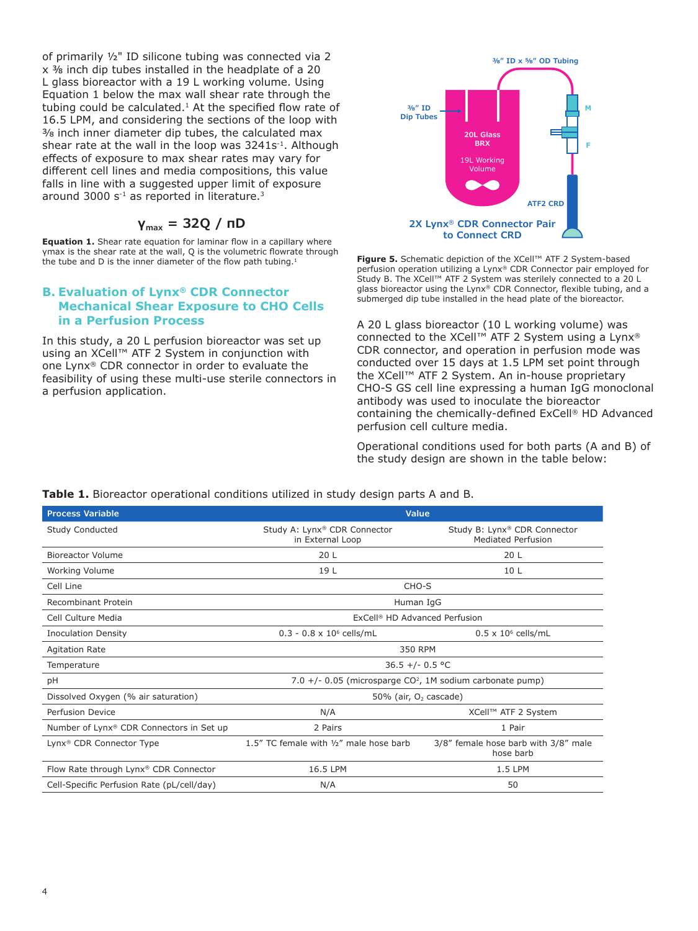of primarily ½" ID silicone tubing was connected via 2 x ⅜ inch dip tubes installed in the headplate of a 20 L glass bioreactor with a 19 L working volume. Using Equation 1 below the max wall shear rate through the tubing could be calculated. $1$  At the specified flow rate of 16.5 LPM, and considering the sections of the loop with 3/8 inch inner diameter dip tubes, the calculated max shear rate at the wall in the loop was 3241s<sup>-1</sup>. Although effects of exposure to max shear rates may vary for different cell lines and media compositions, this value falls in line with a suggested upper limit of exposure around 3000  $s^{-1}$  as reported in literature.<sup>3</sup>

## $γ_{max}$  = 32Q / πD

**Equation 1.** Shear rate equation for laminar flow in a capillary where γmax is the shear rate at the wall, Q is the volumetric flowrate through the tube and D is the inner diameter of the flow path tubing.<sup>1</sup>

#### **B. Evaluation of Lynx® CDR Connector Mechanical Shear Exposure to CHO Cells in a Perfusion Process**

In this study, a 20 L perfusion bioreactor was set up using an XCell™ ATF 2 System in conjunction with one Lynx® CDR connector in order to evaluate the feasibility of using these multi-use sterile connectors in a perfusion application.



**Figure 5.** Schematic depiction of the XCell™ ATF 2 System-based perfusion operation utilizing a Lynx® CDR Connector pair employed for Study B. The XCell™ ATF 2 System was sterilely connected to a 20 L glass bioreactor using the Lynx® CDR Connector, flexible tubing, and a submerged dip tube installed in the head plate of the bioreactor.

A 20 L glass bioreactor (10 L working volume) was connected to the XCell™ ATF 2 System using a Lynx® CDR connector, and operation in perfusion mode was conducted over 15 days at 1.5 LPM set point through the XCell™ ATF 2 System. An in-house proprietary CHO-S GS cell line expressing a human IgG monoclonal antibody was used to inoculate the bioreactor containing the chemically-defined ExCell® HD Advanced perfusion cell culture media.

Operational conditions used for both parts (A and B) of the study design are shown in the table below:

| <b>Process Variable</b>                    | <b>Value</b>                                                |                                                           |
|--------------------------------------------|-------------------------------------------------------------|-----------------------------------------------------------|
| Study Conducted                            | Study A: Lynx® CDR Connector<br>in External Loop            | Study B: Lynx® CDR Connector<br><b>Mediated Perfusion</b> |
| Bioreactor Volume                          | 20 L                                                        | 20 L                                                      |
| Working Volume                             | 19 L                                                        | 10L                                                       |
| Cell Line                                  | CHO-S                                                       |                                                           |
| Recombinant Protein                        | Human IgG                                                   |                                                           |
| Cell Culture Media                         | ExCell <sup>®</sup> HD Advanced Perfusion                   |                                                           |
| <b>Inoculation Density</b>                 | $0.3 - 0.8 \times 10^6$ cells/mL                            | $0.5 \times 10^6$ cells/mL                                |
| <b>Agitation Rate</b>                      | 350 RPM                                                     |                                                           |
| Temperature                                | $36.5 +/- 0.5$ °C                                           |                                                           |
| рH                                         | 7.0 +/- 0.05 (microsparge $CO2$ , 1M sodium carbonate pump) |                                                           |
| Dissolved Oxygen (% air saturation)        | 50% (air, O <sub>2</sub> cascade)                           |                                                           |
| Perfusion Device                           | N/A                                                         | XCell™ ATF 2 System                                       |
| Number of Lynx® CDR Connectors in Set up   | 2 Pairs                                                     | 1 Pair                                                    |
| Lynx® CDR Connector Type                   | 1.5" TC female with 1/2" male hose barb                     | 3/8" female hose barb with 3/8" male<br>hose barb         |
| Flow Rate through Lynx® CDR Connector      | 16.5 LPM                                                    | 1.5 LPM                                                   |
| Cell-Specific Perfusion Rate (pL/cell/day) | N/A                                                         | 50                                                        |

#### **Table 1.** Bioreactor operational conditions utilized in study design parts A and B.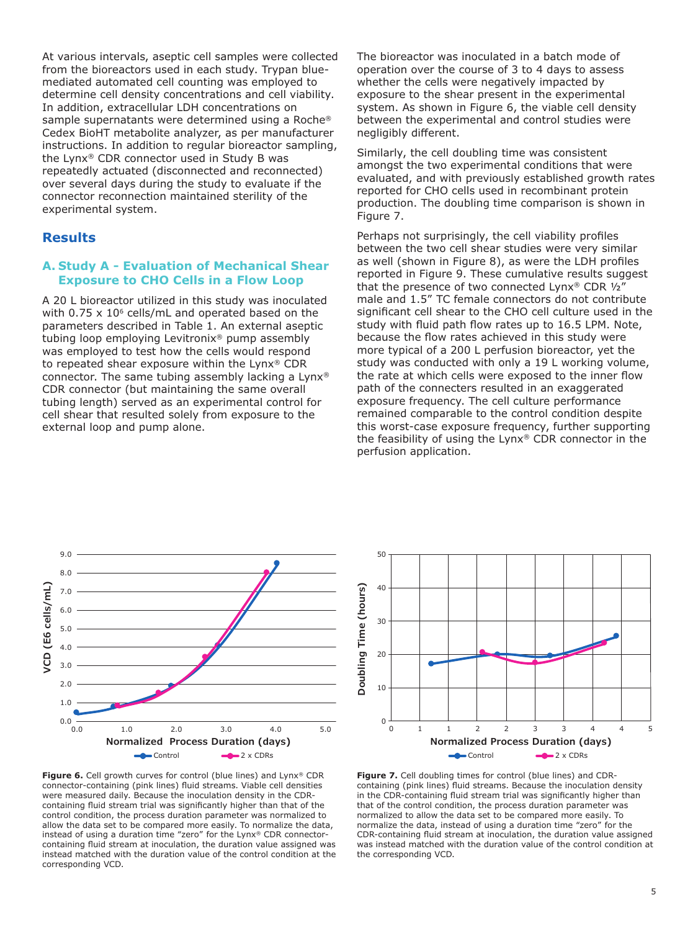At various intervals, aseptic cell samples were collected from the bioreactors used in each study. Trypan bluemediated automated cell counting was employed to determine cell density concentrations and cell viability. In addition, extracellular LDH concentrations on sample supernatants were determined using a Roche® Cedex BioHT metabolite analyzer, as per manufacturer instructions. In addition to regular bioreactor sampling, the Lynx® CDR connector used in Study B was repeatedly actuated (disconnected and reconnected) over several days during the study to evaluate if the connector reconnection maintained sterility of the experimental system.

#### **Results**

#### **A. Study A - Evaluation of Mechanical Shear Exposure to CHO Cells in a Flow Loop**

A 20 L bioreactor utilized in this study was inoculated with  $0.75 \times 10^6$  cells/mL and operated based on the parameters described in Table 1. An external aseptic tubing loop employing Levitronix® pump assembly was employed to test how the cells would respond to repeated shear exposure within the Lynx® CDR connector. The same tubing assembly lacking a Lynx® CDR connector (but maintaining the same overall tubing length) served as an experimental control for cell shear that resulted solely from exposure to the external loop and pump alone.

The bioreactor was inoculated in a batch mode of operation over the course of 3 to 4 days to assess whether the cells were negatively impacted by exposure to the shear present in the experimental system. As shown in Figure 6, the viable cell density between the experimental and control studies were negligibly different.

Similarly, the cell doubling time was consistent amongst the two experimental conditions that were evaluated, and with previously established growth rates reported for CHO cells used in recombinant protein production. The doubling time comparison is shown in Figure 7.

Perhaps not surprisingly, the cell viability profiles between the two cell shear studies were very similar as well (shown in Figure 8), as were the LDH profiles reported in Figure 9. These cumulative results suggest that the presence of two connected Lynx® CDR ½" male and 1.5" TC female connectors do not contribute significant cell shear to the CHO cell culture used in the study with fluid path flow rates up to 16.5 LPM. Note, because the flow rates achieved in this study were more typical of a 200 L perfusion bioreactor, yet the study was conducted with only a 19 L working volume, the rate at which cells were exposed to the inner flow path of the connecters resulted in an exaggerated exposure frequency. The cell culture performance remained comparable to the control condition despite this worst-case exposure frequency, further supporting the feasibility of using the Lynx® CDR connector in the perfusion application.



Figure 6. Cell growth curves for control (blue lines) and Lynx® CDR connector-containing (pink lines) fluid streams. Viable cell densities were measured daily. Because the inoculation density in the CDRcontaining fluid stream trial was significantly higher than that of the control condition, the process duration parameter was normalized to allow the data set to be compared more easily. To normalize the data, instead of using a duration time "zero" for the Lynx® CDR connectorcontaining fluid stream at inoculation, the duration value assigned was instead matched with the duration value of the control condition at the corresponding VCD.



**Figure 7.** Cell doubling times for control (blue lines) and CDRcontaining (pink lines) fluid streams. Because the inoculation density in the CDR-containing fluid stream trial was significantly higher than that of the control condition, the process duration parameter was normalized to allow the data set to be compared more easily. To normalize the data, instead of using a duration time "zero" for the CDR-containing fluid stream at inoculation, the duration value assigned was instead matched with the duration value of the control condition at the corresponding VCD.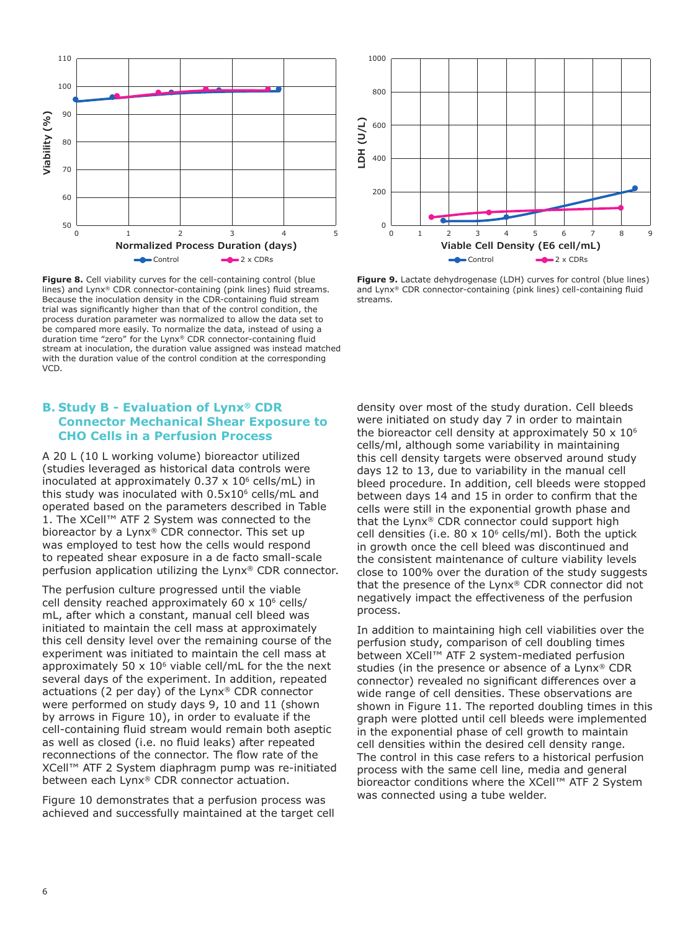

Figure 8. Cell viability curves for the cell-containing control (blue lines) and Lynx® CDR connector-containing (pink lines) fluid streams. Because the inoculation density in the CDR-containing fluid stream trial was significantly higher than that of the control condition, the process duration parameter was normalized to allow the data set to be compared more easily. To normalize the data, instead of using a duration time "zero" for the Lynx® CDR connector-containing fluid stream at inoculation, the duration value assigned was instead matched with the duration value of the control condition at the corresponding VCD.

#### **B. Study B - Evaluation of Lynx® CDR Connector Mechanical Shear Exposure to CHO Cells in a Perfusion Process**

A 20 L (10 L working volume) bioreactor utilized (studies leveraged as historical data controls were inoculated at approximately  $0.37 \times 10^6$  cells/mL) in this study was inoculated with 0.5x10<sup>6</sup> cells/mL and operated based on the parameters described in Table 1. The XCell™ ATF 2 System was connected to the bioreactor by a Lynx® CDR connector. This set up was employed to test how the cells would respond to repeated shear exposure in a de facto small-scale perfusion application utilizing the Lynx® CDR connector.

The perfusion culture progressed until the viable cell density reached approximately  $60 \times 10^6$  cells/ mL, after which a constant, manual cell bleed was initiated to maintain the cell mass at approximately this cell density level over the remaining course of the experiment was initiated to maintain the cell mass at approximately 50  $\times$  10<sup>6</sup> viable cell/mL for the the next several days of the experiment. In addition, repeated actuations (2 per day) of the Lynx® CDR connector were performed on study days 9, 10 and 11 (shown by arrows in Figure 10), in order to evaluate if the cell-containing fluid stream would remain both aseptic as well as closed (i.e. no fluid leaks) after repeated reconnections of the connector. The flow rate of the XCell™ ATF 2 System diaphragm pump was re-initiated between each Lynx® CDR connector actuation.

Figure 10 demonstrates that a perfusion process was achieved and successfully maintained at the target cell



**Figure 9.** Lactate dehydrogenase (LDH) curves for control (blue lines) and Lynx® CDR connector-containing (pink lines) cell-containing fluid streams.

density over most of the study duration. Cell bleeds were initiated on study day 7 in order to maintain the bioreactor cell density at approximately 50  $\times$  10 $^{\circ}$ cells/ml, although some variability in maintaining this cell density targets were observed around study days 12 to 13, due to variability in the manual cell bleed procedure. In addition, cell bleeds were stopped between days 14 and 15 in order to confirm that the cells were still in the exponential growth phase and that the Lynx® CDR connector could support high cell densities (i.e.  $80 \times 10^6$  cells/ml). Both the uptick in growth once the cell bleed was discontinued and the consistent maintenance of culture viability levels close to 100% over the duration of the study suggests that the presence of the Lynx® CDR connector did not negatively impact the effectiveness of the perfusion process.

In addition to maintaining high cell viabilities over the perfusion study, comparison of cell doubling times between XCell™ ATF 2 system-mediated perfusion studies (in the presence or absence of a Lynx® CDR connector) revealed no significant differences over a wide range of cell densities. These observations are shown in Figure 11. The reported doubling times in this graph were plotted until cell bleeds were implemented in the exponential phase of cell growth to maintain cell densities within the desired cell density range. The control in this case refers to a historical perfusion process with the same cell line, media and general bioreactor conditions where the XCell™ ATF 2 System was connected using a tube welder.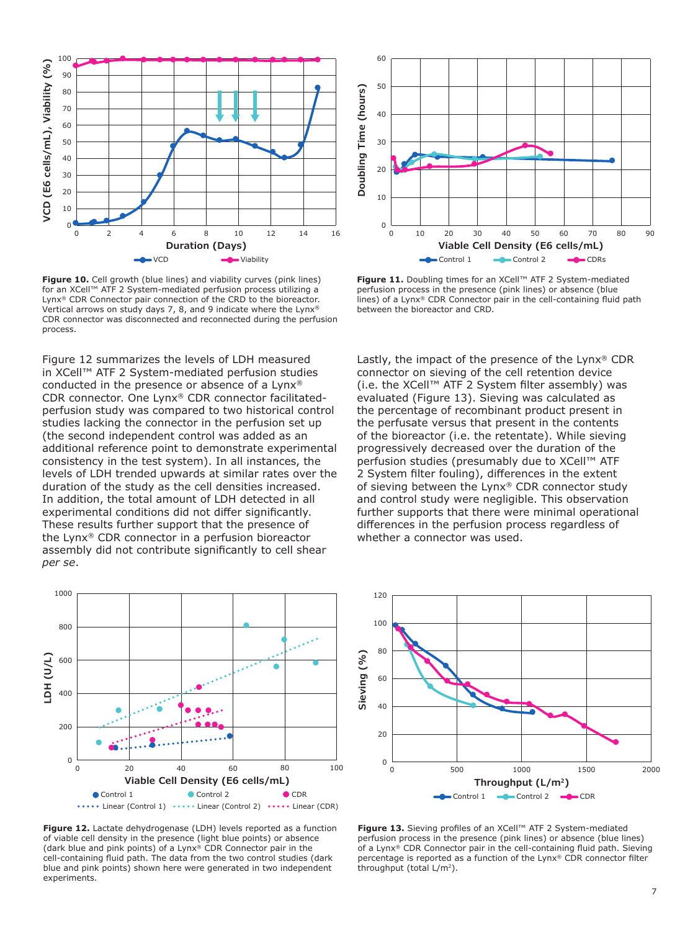

**Figure 10.** Cell growth (blue lines) and viability curves (pink lines) for an XCell™ ATF 2 System-mediated perfusion process utilizing a Lynx® CDR Connector pair connection of the CRD to the bioreactor. Vertical arrows on study days 7, 8, and 9 indicate where the Lynx® CDR connector was disconnected and reconnected during the perfusion process.

Figure 12 summarizes the levels of LDH measured in XCell™ ATF 2 System-mediated perfusion studies conducted in the presence or absence of a Lynx® CDR connector. One Lynx® CDR connector facilitatedperfusion study was compared to two historical control studies lacking the connector in the perfusion set up (the second independent control was added as an additional reference point to demonstrate experimental consistency in the test system). In all instances, the levels of LDH trended upwards at similar rates over the duration of the study as the cell densities increased. In addition, the total amount of LDH detected in all experimental conditions did not differ significantly. These results further support that the presence of the Lynx® CDR connector in a perfusion bioreactor assembly did not contribute significantly to cell shear *per se*.



**Figure 12.** Lactate dehydrogenase (LDH) levels reported as a function of viable cell density in the presence (light blue points) or absence (dark blue and pink points) of a Lynx® CDR Connector pair in the cell-containing fluid path. The data from the two control studies (dark blue and pink points) shown here were generated in two independent experiments.



**Figure 11.** Doubling times for an XCell™ ATF 2 System-mediated perfusion process in the presence (pink lines) or absence (blue lines) of a Lynx® CDR Connector pair in the cell-containing fluid path between the bioreactor and CRD.

Lastly, the impact of the presence of the Lynx® CDR connector on sieving of the cell retention device (i.e. the XCell™ ATF 2 System filter assembly) was evaluated (Figure 13). Sieving was calculated as the percentage of recombinant product present in the perfusate versus that present in the contents of the bioreactor (i.e. the retentate). While sieving progressively decreased over the duration of the perfusion studies (presumably due to XCell™ ATF 2 System filter fouling), differences in the extent of sieving between the Lynx® CDR connector study and control study were negligible. This observation further supports that there were minimal operational differences in the perfusion process regardless of whether a connector was used.



**Figure 13.** Sieving profiles of an XCell™ ATF 2 System-mediated perfusion process in the presence (pink lines) or absence (blue lines) of a Lynx® CDR Connector pair in the cell-containing fluid path. Sieving percentage is reported as a function of the Lynx® CDR connector filter throughput (total L/m<sup>2</sup>).